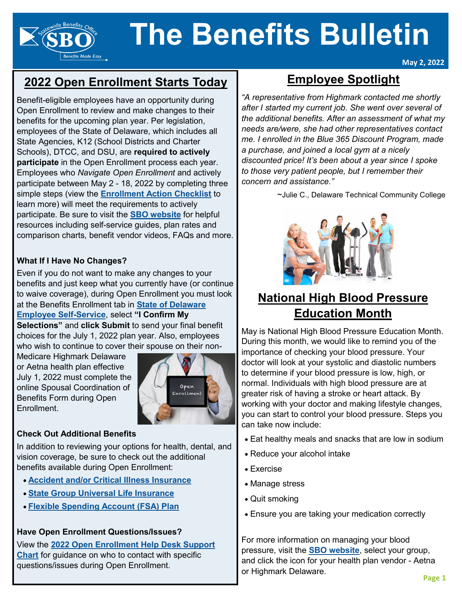# **The Benefits Bulletin**

## **2022 Open Enrollment Starts Today**

**Benefits Made Easy** 

Benefit-eligible employees have an opportunity during Open Enrollment to review and make changes to their benefits for the upcoming plan year. Per legislation, employees of the State of Delaware, which includes all State Agencies, K12 (School Districts and Charter Schools), DTCC, and DSU, are **required to actively participate** in the Open Enrollment process each year. Employees who *Navigate Open Enrollment* and actively participate between May 2 - 18, 2022 by completing three simple steps (view the **[Enrollment Action Checklist](https://dhr.delaware.gov/benefits/oe/documents/oe-action-checklist-active.pdf)** to learn more) will meet the requirements to actively participate. Be sure to visit the **[SBO website](https://dhr.delaware.gov/benefits/?utm_source=Newsletter&utm_medium=Email&utm_campaign=BB202205Homepage)** for helpful resources including self-service guides, plan rates and comparison charts, benefit vendor videos, FAQs and more.

#### **What If I Have No Changes?**

Even if you do not want to make any changes to your benefits and just keep what you currently have (or continue to waive coverage), during Open Enrollment you must look at the Benefits Enrollment tab in **[State of Delaware](https://employeeselfservice.omb.delaware.gov/)  [Employee Self](https://employeeselfservice.omb.delaware.gov/)-Service**, select **"I Confirm My Selections"** and **click Submit** to send your final benefit

choices for the July 1, 2022 plan year. Also, employees who wish to continue to cover their spouse on their non-

Medicare Highmark Delaware or Aetna health plan effective July 1, 2022 must complete the online Spousal Coordination of Benefits Form during Open Enrollment.



#### **Check Out Additional Benefits**

In addition to reviewing your options for health, dental, and vision coverage, be sure to check out the additional benefits available during Open Enrollment:

- **[Accident and/or Critical Illness Insurance](https://dhr.delaware.gov/benefits/securian-acii/index.shtml?utm_source=Newsletter&utm_medium=Article&utm_campaign=BB202205ACIInsurance)**
- **[State Group Universal Life Insurance](https://dhr.delaware.gov/benefits/life/life.shtml?utm_source=Newsletter&utm_medium=Article&utm_campaign=BB202205GUL)**
- **[Flexible Spending Account \(FSA\) Plan](https://dhr.delaware.gov/benefits/fsa/index.shtml?utm_source=Newsletter&utm_medium=Article&utm_campaign=BB202205FSA)**

#### **Have Open Enrollment Questions/Issues?**

View the **[2022 Open Enrollment Help Desk Support](https://dhr.delaware.gov/benefits/oe/documents/help-desk-support-chart.pdf?ver=0311)  [Chart](https://dhr.delaware.gov/benefits/oe/documents/help-desk-support-chart.pdf?ver=0311)** for guidance on who to contact with specific questions/issues during Open Enrollment.

## **Employee Spotlight**

**May 2, 2022**

*"A representative from Highmark contacted me shortly after I started my current job. She went over several of the additional benefits. After an assessment of what my needs are/were, she had other representatives contact me. I enrolled in the Blue 365 Discount Program, made a purchase, and joined a local gym at a nicely discounted price! It's been about a year since I spoke to those very patient people, but I remember their concern and assistance."*

~Julie C., Delaware Technical Community College



## **National High Blood Pressure Education Month**

May is National High Blood Pressure Education Month. During this month, we would like to remind you of the importance of checking your blood pressure. Your doctor will look at your systolic and diastolic numbers to determine if your blood pressure is low, high, or normal. Individuals with high blood pressure are at greater risk of having a stroke or heart attack. By working with your doctor and making lifestyle changes, you can start to control your blood pressure. Steps you can take now include:

- Eat healthy meals and snacks that are low in sodium
- Reduce your alcohol intake
- Exercise
- Manage stress
- Quit smoking
- Ensure you are taking your medication correctly

For more information on managing your blood pressure, visit the **[SBO website](https://dhr.delaware.gov/benefits/?utm_source=Newsletter&utm_medium=Email&utm_campaign=BB202205Homepage)**, select your group, and click the icon for your health plan vendor - Aetna or Highmark Delaware.